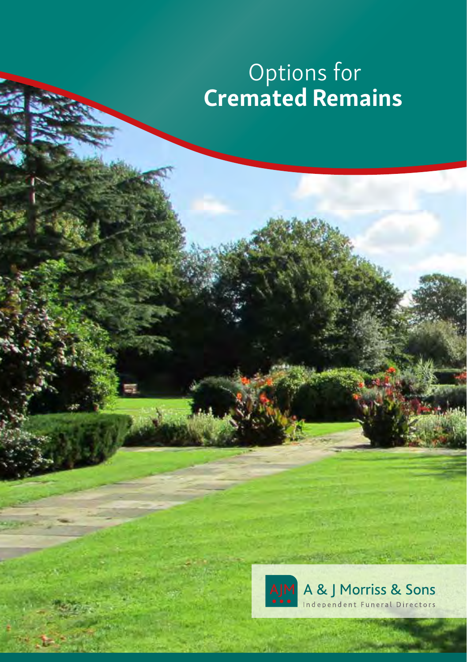# Options for Cremated Remains

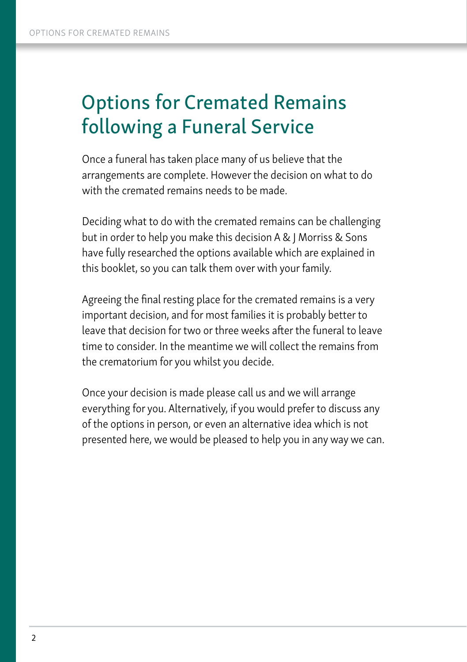# Options for Cremated Remains following a Funeral Service

Once a funeral has taken place many of us believe that the arrangements are complete. However the decision on what to do with the cremated remains needs to be made.

Deciding what to do with the cremated remains can be challenging but in order to help you make this decision A & J Morriss & Sons have fully researched the options available which are explained in this booklet, so you can talk them over with your family.

Agreeing the final resting place for the cremated remains is a very important decision, and for most families it is probably better to leave that decision for two or three weeks after the funeral to leave time to consider. In the meantime we will collect the remains from the crematorium for you whilst you decide.

Once your decision is made please call us and we will arrange everything for you. Alternatively, if you would prefer to discuss any of the options in person, or even an alternative idea which is not presented here, we would be pleased to help you in any way we can.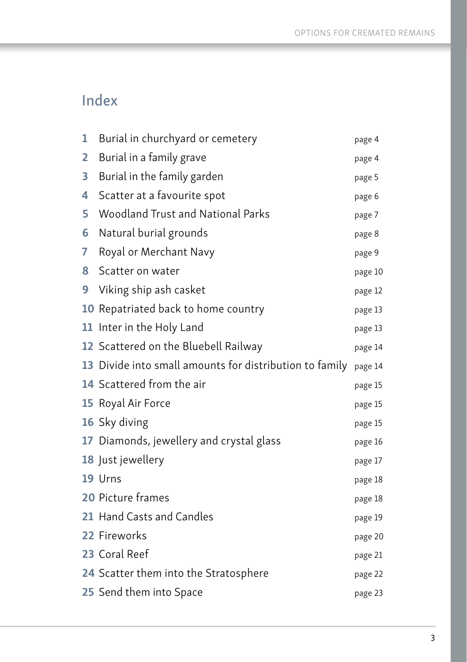### Index

| 1 | Burial in churchyard or cemetery                        | page 4  |
|---|---------------------------------------------------------|---------|
| 2 | Burial in a family grave                                | page 4  |
| 3 | Burial in the family garden                             | page 5  |
| 4 | Scatter at a favourite spot                             | page 6  |
| 5 | Woodland Trust and National Parks                       | page 7  |
| 6 | Natural burial grounds                                  | page 8  |
| 7 | Royal or Merchant Navy                                  | page 9  |
| 8 | Scatter on water                                        | page 10 |
| 9 | Viking ship ash casket                                  | page 12 |
|   | 10 Repatriated back to home country                     | page 13 |
|   | 11 Inter in the Holy Land                               | page 13 |
|   | 12 Scattered on the Bluebell Railway                    | page 14 |
|   | 13 Divide into small amounts for distribution to family | page 14 |
|   | 14 Scattered from the air                               | page 15 |
|   | 15 Royal Air Force                                      | page 15 |
|   | 16 Sky diving                                           | page 15 |
|   | 17 Diamonds, jewellery and crystal glass                | page 16 |
|   | 18 Just jewellery                                       | page 17 |
|   | 19 Urns                                                 | page 18 |
|   | 20 Picture frames                                       | page 18 |
|   | 21 Hand Casts and Candles                               | page 19 |
|   | 22 Fireworks                                            | page 20 |
|   | 23 Coral Reef                                           | page 21 |
|   | 24 Scatter them into the Stratosphere                   | page 22 |
|   | 25 Send them into Space                                 | page 23 |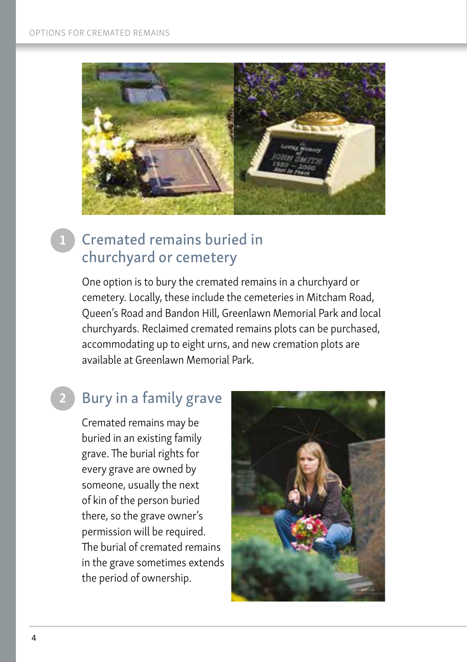

### Cremated remains buried in churchyard or cemetery

One option is to bury the cremated remains in a churchyard or cemetery. Locally, these include the cemeteries in Mitcham Road, Queen's Road and Bandon Hill, Greenlawn Memorial Park and local churchyards. Reclaimed cremated remains plots can be purchased, accommodating up to eight urns, and new cremation plots are available at Greenlawn Memorial Park.

#### Bury in a family grave 2

Cremated remains may be buried in an existing family grave. The burial rights for every grave are owned by someone, usually the next of kin of the person buried there, so the grave owner's permission will be required. The burial of cremated remains in the grave sometimes extends the period of ownership.

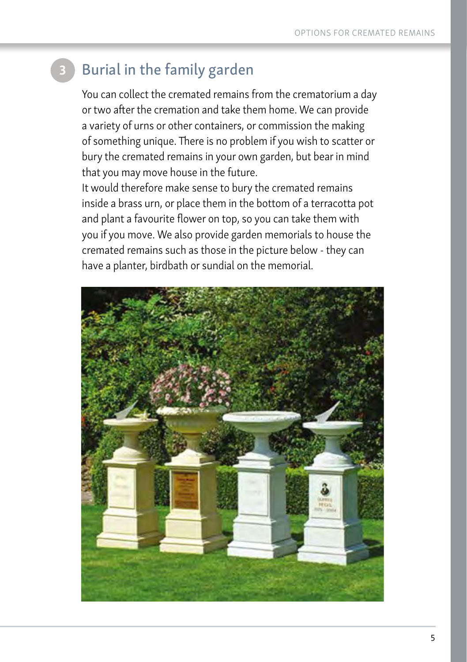## Burial in the family garden

You can collect the cremated remains from the crematorium a day or two after the cremation and take them home. We can provide a variety of urns or other containers, or commission the making of something unique. There is no problem if you wish to scatter or bury the cremated remains in your own garden, but bear in mind that you may move house in the future.

It would therefore make sense to bury the cremated remains inside a brass urn, or place them in the bottom of a terracotta pot and plant a favourite flower on top, so you can take them with you if you move. We also provide garden memorials to house the cremated remains such as those in the picture below - they can have a planter, birdbath or sundial on the memorial.

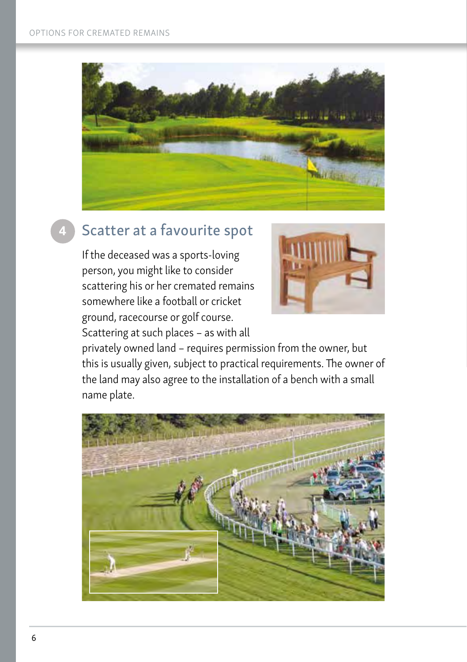

### Scatter at a favourite spot

If the deceased was a sports-loving person, you might like to consider scattering his or her cremated remains somewhere like a football or cricket ground, racecourse or golf course.





privately owned land – requires permission from the owner, but this is usually given, subject to practical requirements. The owner of the land may also agree to the installation of a bench with a small name plate.

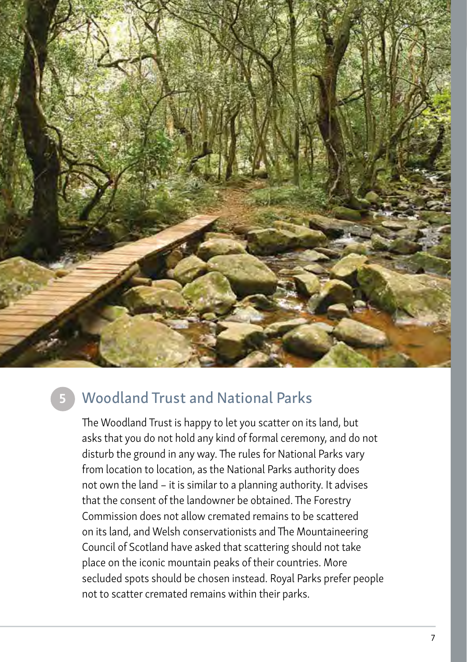

### 5

### Woodland Trust and National Parks

The Woodland Trust is happy to let you scatter on its land, but asks that you do not hold any kind of formal ceremony, and do not disturb the ground in any way. The rules for National Parks vary from location to location, as the National Parks authority does not own the land – it is similar to a planning authority. It advises that the consent of the landowner be obtained. The Forestry Commission does not allow cremated remains to be scattered on its land, and Welsh conservationists and The Mountaineering Council of Scotland have asked that scattering should not take place on the iconic mountain peaks of their countries. More secluded spots should be chosen instead. Royal Parks prefer people not to scatter cremated remains within their parks.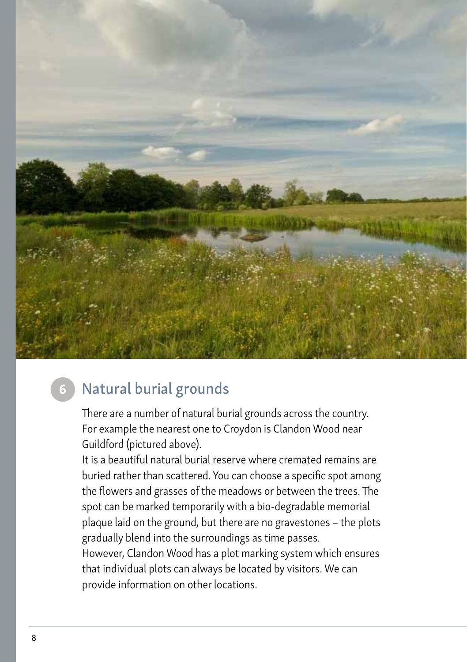

### 6 Natural burial grounds

There are a number of natural burial grounds across the country. For example the nearest one to Croydon is Clandon Wood near Guildford (pictured above).

It is a beautiful natural burial reserve where cremated remains are buried rather than scattered. You can choose a specific spot among the flowers and grasses of the meadows or between the trees. The spot can be marked temporarily with a bio-degradable memorial plaque laid on the ground, but there are no gravestones – the plots gradually blend into the surroundings as time passes.

However, Clandon Wood has a plot marking system which ensures that individual plots can always be located by visitors. We can provide information on other locations.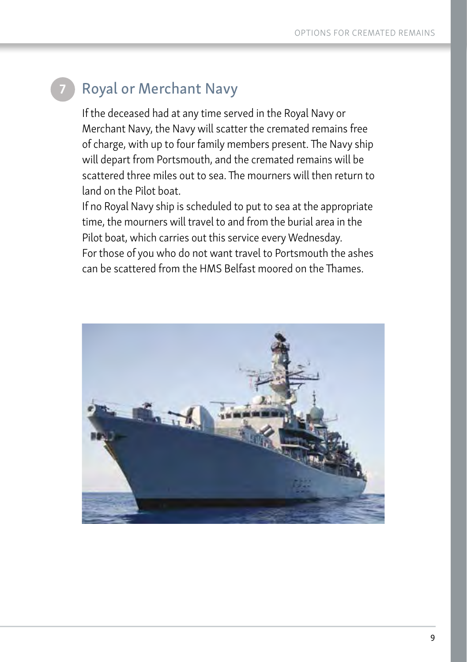# **Royal or Merchant Navy**

If the deceased had at any time served in the Royal Navy or Merchant Navy, the Navy will scatter the cremated remains free of charge, with up to four family members present. The Navy ship will depart from Portsmouth, and the cremated remains will be scattered three miles out to sea. The mourners will then return to land on the Pilot boat.

If no Royal Navy ship is scheduled to put to sea at the appropriate time, the mourners will travel to and from the burial area in the Pilot boat, which carries out this service every Wednesday. For those of you who do not want travel to Portsmouth the ashes can be scattered from the HMS Belfast moored on the Thames.

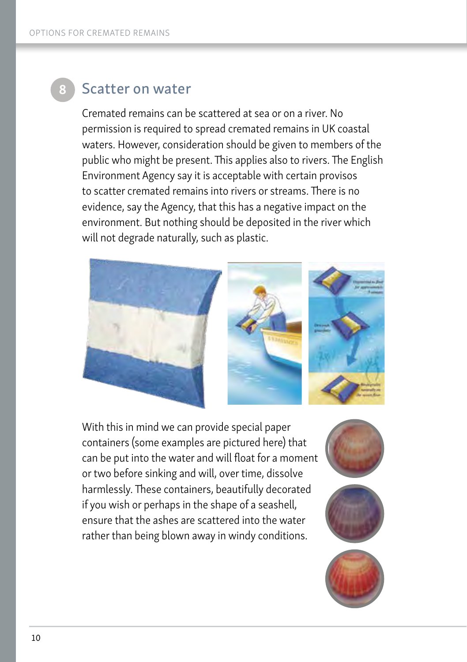### Scatter on water

Cremated remains can be scattered at sea or on a river. No permission is required to spread cremated remains in UK coastal waters. However, consideration should be given to members of the public who might be present. This applies also to rivers. The English Environment Agency say it is acceptable with certain provisos to scatter cremated remains into rivers or streams. There is no evidence, say the Agency, that this has a negative impact on the environment. But nothing should be deposited in the river which will not degrade naturally, such as plastic.



With this in mind we can provide special paper containers (some examples are pictured here) that can be put into the water and will float for a moment or two before sinking and will, over time, dissolve harmlessly. These containers, beautifully decorated if you wish or perhaps in the shape of a seashell, ensure that the ashes are scattered into the water rather than being blown away in windy conditions.





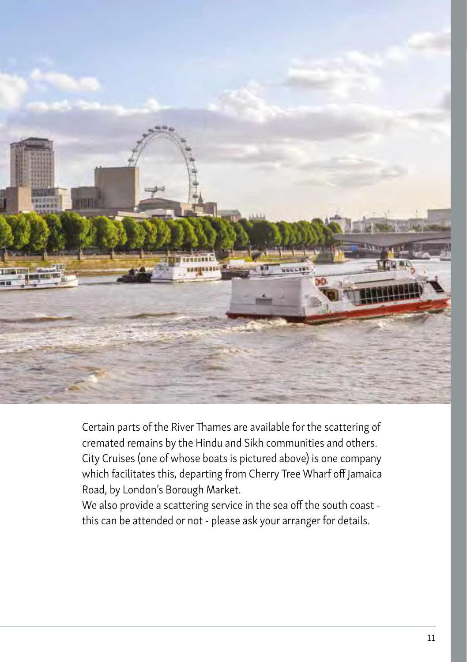

Certain parts of the River Thames are available for the scattering of cremated remains by the Hindu and Sikh communities and others. City Cruises (one of whose boats is pictured above) is one company which facilitates this, departing from Cherry Tree Wharf off Jamaica Road, by London's Borough Market.

We also provide a scattering service in the sea off the south coast this can be attended or not - please ask your arranger for details.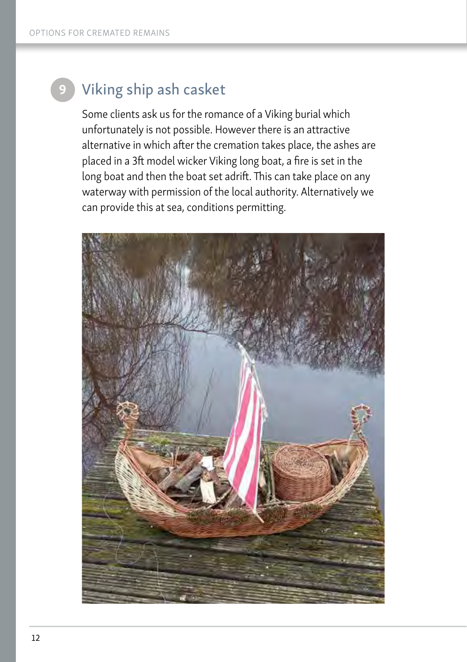9

## Viking ship ash casket

Some clients ask us for the romance of a Viking burial which unfortunately is not possible. However there is an attractive alternative in which after the cremation takes place, the ashes are placed in a 3ft model wicker Viking long boat, a fire is set in the long boat and then the boat set adrift. This can take place on any waterway with permission of the local authority. Alternatively we can provide this at sea, conditions permitting.

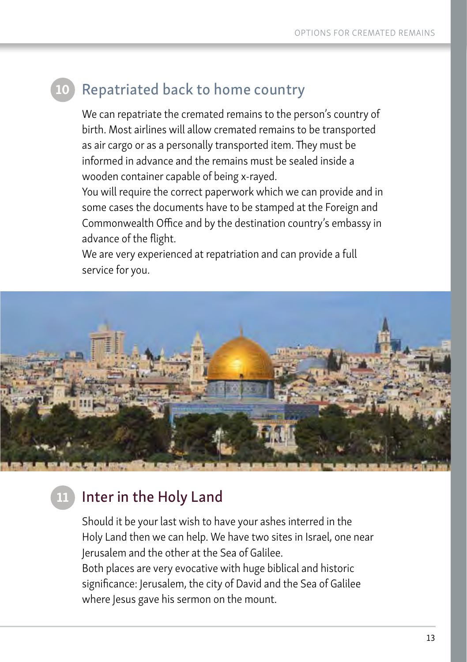#### Repatriated back to home country 10

We can repatriate the cremated remains to the person's country of birth. Most airlines will allow cremated remains to be transported as air cargo or as a personally transported item. They must be informed in advance and the remains must be sealed inside a wooden container capable of being x-rayed.

You will require the correct paperwork which we can provide and in some cases the documents have to be stamped at the Foreign and Commonwealth Office and by the destination country's embassy in advance of the flight.

We are very experienced at repatriation and can provide a full service for you.



#### Inter in the Holy Land 11

Should it be your last wish to have your ashes interred in the Holy Land then we can help. We have two sites in Israel, one near Jerusalem and the other at the Sea of Galilee. Both places are very evocative with huge biblical and historic significance: Jerusalem, the city of David and the Sea of Galilee where Jesus gave his sermon on the mount.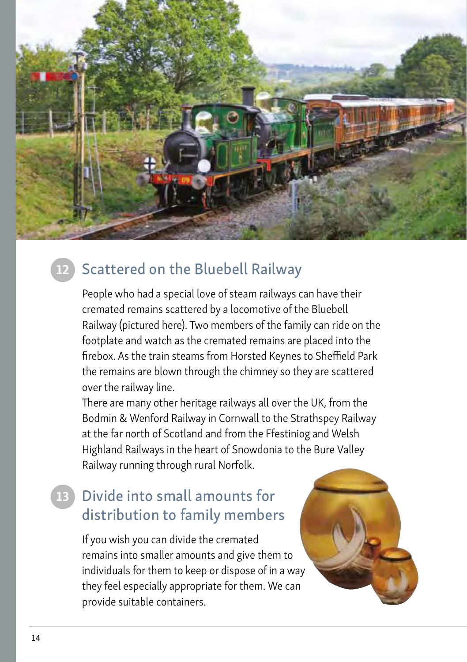

#### Scattered on the Bluebell Railway 12

People who had a special love of steam railways can have their cremated remains scattered by a locomotive of the Bluebell Railway (pictured here). Two members of the family can ride on the footplate and watch as the cremated remains are placed into the firebox. As the train steams from Horsted Keynes to Sheffield Park the remains are blown through the chimney so they are scattered over the railway line.

There are many other heritage railways all over the UK, from the Bodmin & Wenford Railway in Cornwall to the Strathspey Railway at the far north of Scotland and from the Ffestiniog and Welsh Highland Railways in the heart of Snowdonia to the Bure Valley Railway running through rural Norfolk.

### Divide into small amounts for distribution to family members 13

If you wish you can divide the cremated remains into smaller amounts and give them to individuals for them to keep or dispose of in a way they feel especially appropriate for them. We can provide suitable containers.

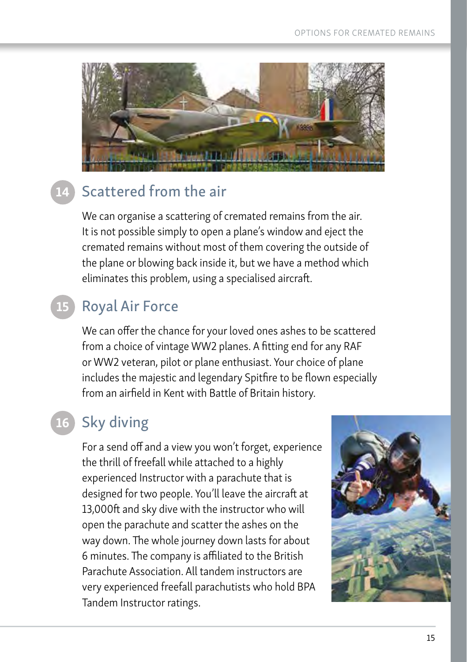

#### Scattered from the air 14

We can organise a scattering of cremated remains from the air. It is not possible simply to open a plane's window and eject the cremated remains without most of them covering the outside of the plane or blowing back inside it, but we have a method which eliminates this problem, using a specialised aircraft.

#### Royal Air Force 15

We can offer the chance for your loved ones ashes to be scattered from a choice of vintage WW2 planes. A fitting end for any RAF or WW2 veteran, pilot or plane enthusiast. Your choice of plane includes the majestic and legendary Spitfire to be flown especially from an airfield in Kent with Battle of Britain history.

#### Sky diving 16

For a send off and a view you won't forget, experience the thrill of freefall while attached to a highly experienced Instructor with a parachute that is designed for two people. You'll leave the aircraft at 13,000ft and sky dive with the instructor who will open the parachute and scatter the ashes on the way down. The whole journey down lasts for about 6 minutes. The company is affiliated to the British Parachute Association. All tandem instructors are very experienced freefall parachutists who hold BPA Tandem Instructor ratings.

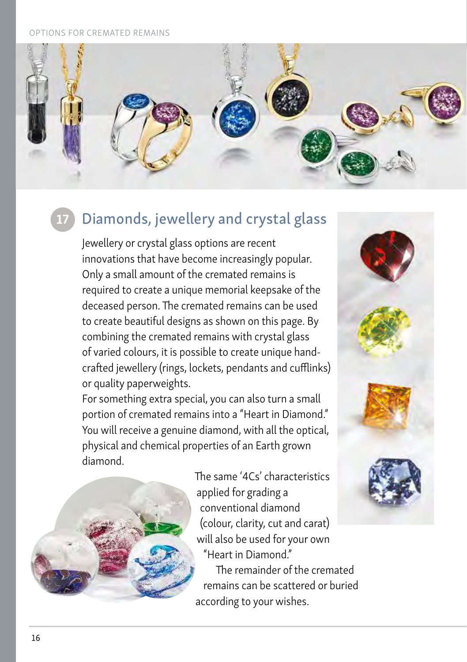#### **TONS FOR CREMATED REMAINS**



## Diamonds, jewellery and crystal glass

Jewellery or crystal glass options are recent innovations that have become increasingly popular. Only a small amount of the cremated remains is required to create a unique memorial keepsake of the deceased person. The cremated remains can be used to create beautiful designs as shown on this page. By combining the cremated remains with crystal glass of varied colours, it is possible to create unique handcrafted jewellery (rings, lockets, pendants and cufflinks) or quality paperweights.

For something extra special, you can also turn a small portion of cremated remains into a "Heart in Diamond." You will receive a genuine diamond, with all the optical, physical and chemical properties of an Earth grown diamond.



 The same '4Cs' characteristics applied for grading a conventional diamond (colour, clarity, cut and carat) will also be used for your own "Heart in Diamond."

 The remainder of the cremated remains can be scattered or buried according to your wishes.

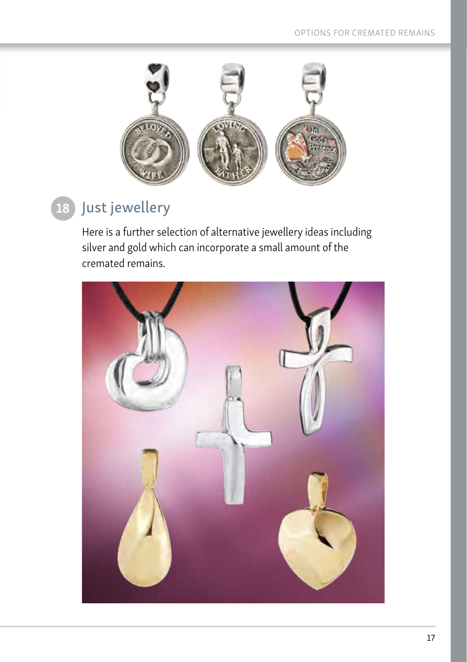

#### Just jewellery 18

Here is a further selection of alternative jewellery ideas including silver and gold which can incorporate a small amount of the cremated remains.

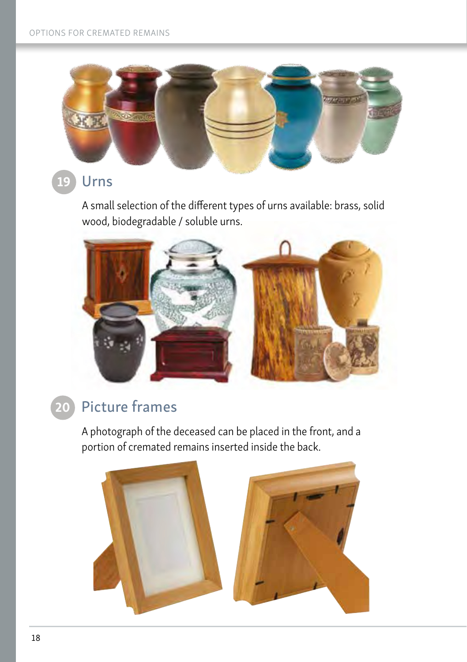

#### Urns 19

A small selection of the different types of urns available: brass, solid wood, biodegradable / soluble urns.



#### Picture frames 20

A photograph of the deceased can be placed in the front, and a portion of cremated remains inserted inside the back.

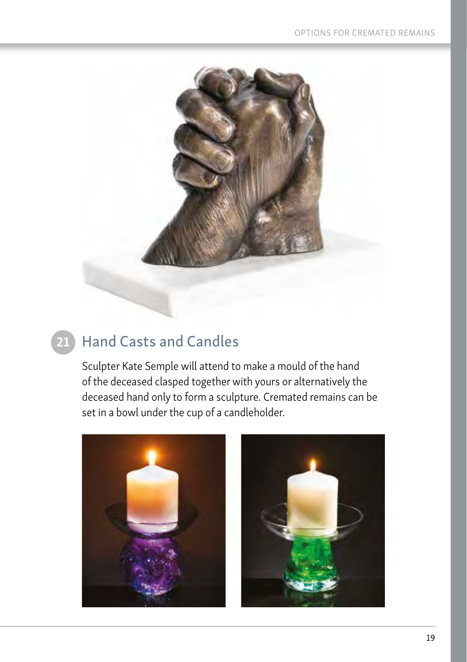

#### Hand Casts and Candles 21

Sculpter Kate Semple will attend to make a mould of the hand of the deceased clasped together with yours or alternatively the deceased hand only to form a sculpture. Cremated remains can be set in a bowl under the cup of a candleholder.



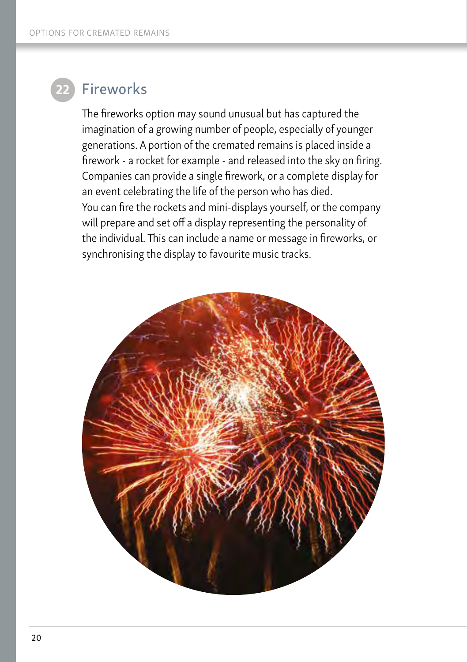

### Fireworks

The fireworks option may sound unusual but has captured the imagination of a growing number of people, especially of younger generations. A portion of the cremated remains is placed inside a firework - a rocket for example - and released into the sky on firing. Companies can provide a single firework, or a complete display for an event celebrating the life of the person who has died. You can fire the rockets and mini-displays yourself, or the company will prepare and set off a display representing the personality of the individual. This can include a name or message in fireworks, or synchronising the display to favourite music tracks.

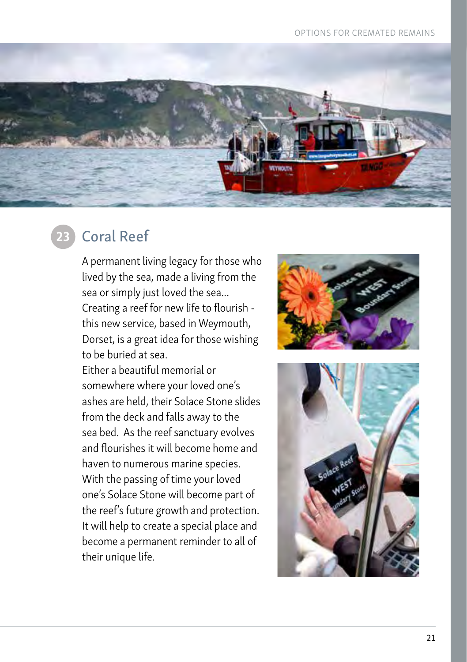#### OPTIONS FOR CREMATED REMAINS



### Coral Reef

A permanent living legacy for those who lived by the sea, made a living from the sea or simply just loved the sea... Creating a reef for new life to flourish this new service, based in Weymouth, Dorset, is a great idea for those wishing to be buried at sea.

Either a beautiful memorial or somewhere where your loved one's ashes are held, their Solace Stone slides from the deck and falls away to the sea bed. As the reef sanctuary evolves and flourishes it will become home and haven to numerous marine species. With the passing of time your loved one's Solace Stone will become part of the reef's future growth and protection. It will help to create a special place and become a permanent reminder to all of their unique life.



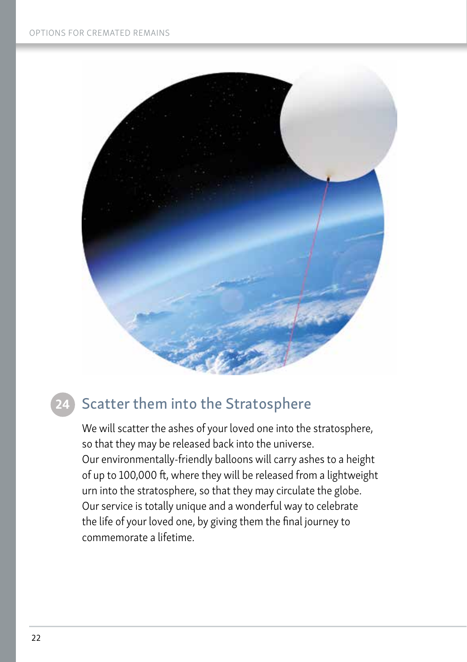

#### Scatter them into the Stratosphere 24

We will scatter the ashes of your loved one into the stratosphere, so that they may be released back into the universe. Our environmentally-friendly balloons will carry ashes to a height of up to 100,000 ft, where they will be released from a lightweight urn into the stratosphere, so that they may circulate the globe. Our service is totally unique and a wonderful way to celebrate the life of your loved one, by giving them the final journey to commemorate a lifetime.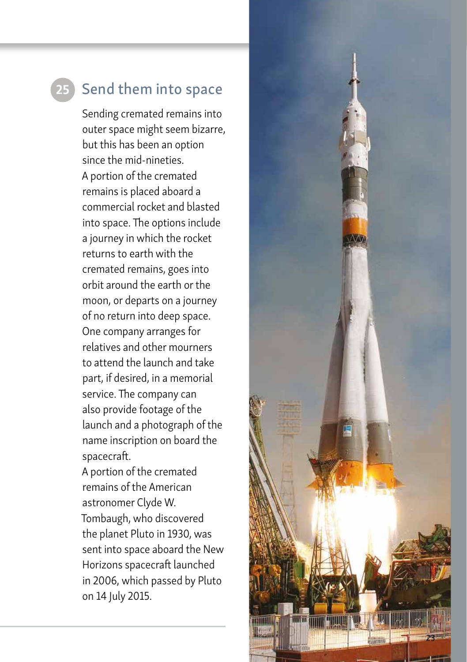## Send them into space

Sending cremated remains into outer space might seem bizarre, but this has been an option since the mid-nineties. A portion of the cremated remains is placed aboard a commercial rocket and blasted into space. The options include a journey in which the rocket returns to earth with the cremated remains, goes into orbit around the earth or the moon, or departs on a journey of no return into deep space. One company arranges for relatives and other mourners to attend the launch and take part, if desired, in a memorial service. The company can also provide footage of the launch and a photograph of the name inscription on board the spacecraft.

A portion of the cremated remains of the American astronomer Clyde W. Tombaugh, who discovered the planet Pluto in 1930, was sent into space aboard the New Horizons spacecraft launched in 2006, which passed by Pluto on 14 July 2015.